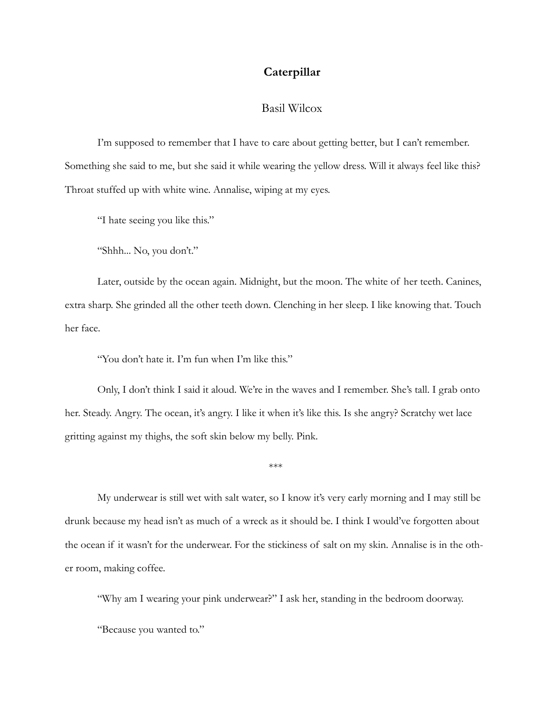## **Caterpillar**

## Basil Wilcox

I'm supposed to remember that I have to care about getting better, but I can't remember. Something she said to me, but she said it while wearing the yellow dress. Will it always feel like this? Throat stuffed up with white wine. Annalise, wiping at my eyes.

"I hate seeing you like this."

"Shhh... No, you don't."

Later, outside by the ocean again. Midnight, but the moon. The white of her teeth. Canines, extra sharp. She grinded all the other teeth down. Clenching in her sleep. I like knowing that. Touch her face.

"You don't hate it. I'm fun when I'm like this."

Only, I don't think I said it aloud. We're in the waves and I remember. She's tall. I grab onto her. Steady. Angry. The ocean, it's angry. I like it when it's like this. Is she angry? Scratchy wet lace gritting against my thighs, the soft skin below my belly. Pink.

\*\*\*

My underwear is still wet with salt water, so I know it's very early morning and I may still be drunk because my head isn't as much of a wreck as it should be. I think I would've forgotten about the ocean if it wasn't for the underwear. For the stickiness of salt on my skin. Annalise is in the other room, making coffee.

"Why am I wearing your pink underwear?" I ask her, standing in the bedroom doorway.

"Because you wanted to."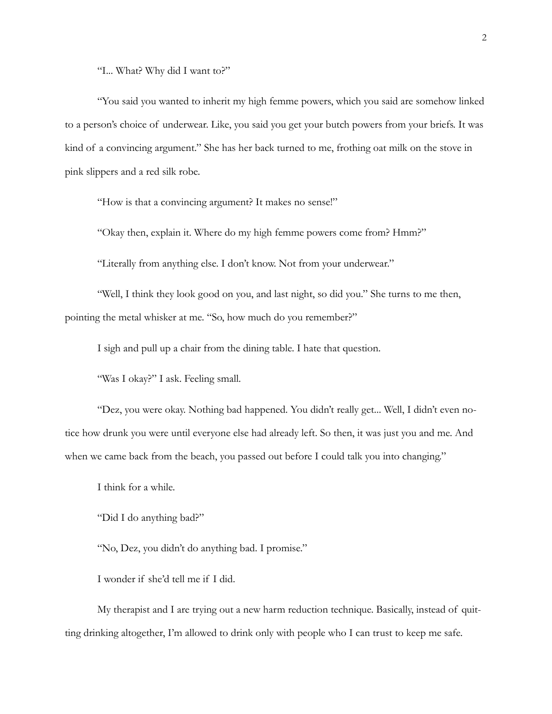"I... What? Why did I want to?"

"You said you wanted to inherit my high femme powers, which you said are somehow linked to a person's choice of underwear. Like, you said you get your butch powers from your briefs. It was kind of a convincing argument." She has her back turned to me, frothing oat milk on the stove in pink slippers and a red silk robe.

"How is that a convincing argument? It makes no sense!"

"Okay then, explain it. Where do my high femme powers come from? Hmm?"

"Literally from anything else. I don't know. Not from your underwear."

"Well, I think they look good on you, and last night, so did you." She turns to me then, pointing the metal whisker at me. "So, how much do you remember?"

I sigh and pull up a chair from the dining table. I hate that question.

"Was I okay?" I ask. Feeling small.

"Dez, you were okay. Nothing bad happened. You didn't really get... Well, I didn't even notice how drunk you were until everyone else had already left. So then, it was just you and me. And when we came back from the beach, you passed out before I could talk you into changing."

I think for a while.

"Did I do anything bad?"

"No, Dez, you didn't do anything bad. I promise."

I wonder if she'd tell me if I did.

My therapist and I are trying out a new harm reduction technique. Basically, instead of quitting drinking altogether, I'm allowed to drink only with people who I can trust to keep me safe.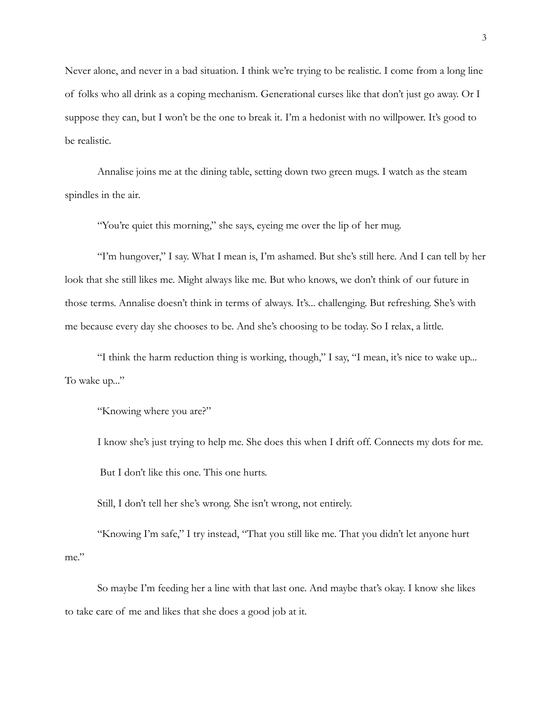Never alone, and never in a bad situation. I think we're trying to be realistic. I come from a long line of folks who all drink as a coping mechanism. Generational curses like that don't just go away. Or I suppose they can, but I won't be the one to break it. I'm a hedonist with no willpower. It's good to be realistic.

Annalise joins me at the dining table, setting down two green mugs. I watch as the steam spindles in the air.

"You're quiet this morning," she says, eyeing me over the lip of her mug.

"I'm hungover," I say. What I mean is, I'm ashamed. But she's still here. And I can tell by her look that she still likes me. Might always like me. But who knows, we don't think of our future in those terms. Annalise doesn't think in terms of always. It's... challenging. But refreshing. She's with me because every day she chooses to be. And she's choosing to be today. So I relax, a little.

"I think the harm reduction thing is working, though," I say, "I mean, it's nice to wake up... To wake up..."

"Knowing where you are?"

I know she's just trying to help me. She does this when I drift off. Connects my dots for me. But I don't like this one. This one hurts.

Still, I don't tell her she's wrong. She isn't wrong, not entirely.

"Knowing I'm safe," I try instead, "That you still like me. That you didn't let anyone hurt me."

So maybe I'm feeding her a line with that last one. And maybe that's okay. I know she likes to take care of me and likes that she does a good job at it.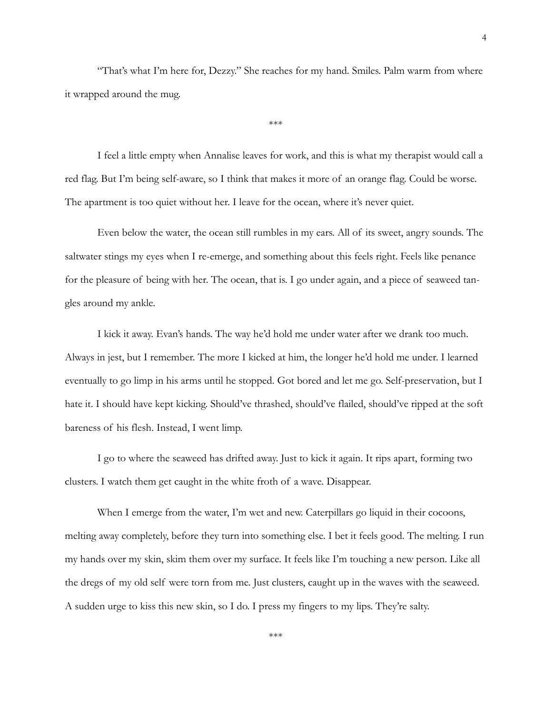"That's what I'm here for, Dezzy." She reaches for my hand. Smiles. Palm warm from where it wrapped around the mug.

\*\*\*

I feel a little empty when Annalise leaves for work, and this is what my therapist would call a red flag. But I'm being self-aware, so I think that makes it more of an orange flag. Could be worse. The apartment is too quiet without her. I leave for the ocean, where it's never quiet.

Even below the water, the ocean still rumbles in my ears. All of its sweet, angry sounds. The saltwater stings my eyes when I re-emerge, and something about this feels right. Feels like penance for the pleasure of being with her. The ocean, that is. I go under again, and a piece of seaweed tangles around my ankle.

I kick it away. Evan's hands. The way he'd hold me under water after we drank too much. Always in jest, but I remember. The more I kicked at him, the longer he'd hold me under. I learned eventually to go limp in his arms until he stopped. Got bored and let me go. Self-preservation, but I hate it. I should have kept kicking. Should've thrashed, should've flailed, should've ripped at the soft bareness of his flesh. Instead, I went limp.

I go to where the seaweed has drifted away. Just to kick it again. It rips apart, forming two clusters. I watch them get caught in the white froth of a wave. Disappear.

When I emerge from the water, I'm wet and new. Caterpillars go liquid in their cocoons, melting away completely, before they turn into something else. I bet it feels good. The melting. I run my hands over my skin, skim them over my surface. It feels like I'm touching a new person. Like all the dregs of my old self were torn from me. Just clusters, caught up in the waves with the seaweed. A sudden urge to kiss this new skin, so I do. I press my fingers to my lips. They're salty.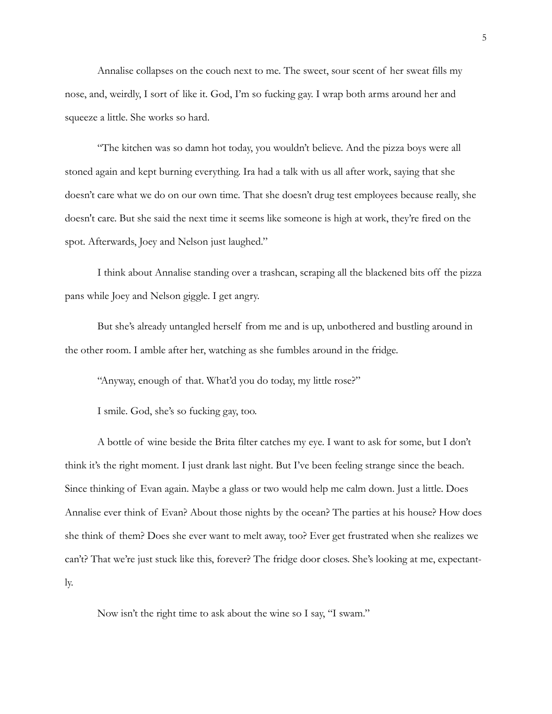Annalise collapses on the couch next to me. The sweet, sour scent of her sweat fills my nose, and, weirdly, I sort of like it. God, I'm so fucking gay. I wrap both arms around her and squeeze a little. She works so hard.

"The kitchen was so damn hot today, you wouldn't believe. And the pizza boys were all stoned again and kept burning everything. Ira had a talk with us all after work, saying that she doesn't care what we do on our own time. That she doesn't drug test employees because really, she doesn't care. But she said the next time it seems like someone is high at work, they're fired on the spot. Afterwards, Joey and Nelson just laughed."

I think about Annalise standing over a trashcan, scraping all the blackened bits off the pizza pans while Joey and Nelson giggle. I get angry.

But she's already untangled herself from me and is up, unbothered and bustling around in the other room. I amble after her, watching as she fumbles around in the fridge.

"Anyway, enough of that. What'd you do today, my little rose?"

I smile. God, she's so fucking gay, too.

A bottle of wine beside the Brita filter catches my eye. I want to ask for some, but I don't think it's the right moment. I just drank last night. But I've been feeling strange since the beach. Since thinking of Evan again. Maybe a glass or two would help me calm down. Just a little. Does Annalise ever think of Evan? About those nights by the ocean? The parties at his house? How does she think of them? Does she ever want to melt away, too? Ever get frustrated when she realizes we can't? That we're just stuck like this, forever? The fridge door closes. She's looking at me, expectantly.

Now isn't the right time to ask about the wine so I say, "I swam."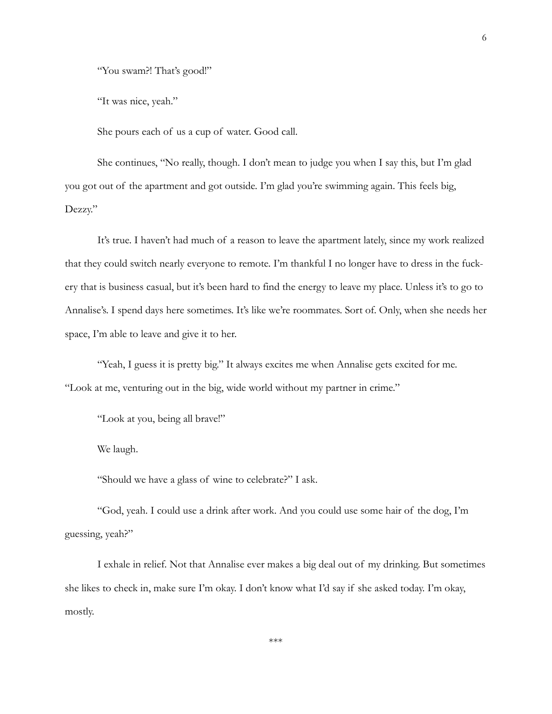"You swam?! That's good!"

"It was nice, yeah."

She pours each of us a cup of water. Good call.

She continues, "No really, though. I don't mean to judge you when I say this, but I'm glad you got out of the apartment and got outside. I'm glad you're swimming again. This feels big, Dezzy."

It's true. I haven't had much of a reason to leave the apartment lately, since my work realized that they could switch nearly everyone to remote. I'm thankful I no longer have to dress in the fuckery that is business casual, but it's been hard to find the energy to leave my place. Unless it's to go to Annalise's. I spend days here sometimes. It's like we're roommates. Sort of. Only, when she needs her space, I'm able to leave and give it to her.

"Yeah, I guess it is pretty big." It always excites me when Annalise gets excited for me. "Look at me, venturing out in the big, wide world without my partner in crime."

"Look at you, being all brave!"

We laugh.

"Should we have a glass of wine to celebrate?" I ask.

"God, yeah. I could use a drink after work. And you could use some hair of the dog, I'm guessing, yeah?"

I exhale in relief. Not that Annalise ever makes a big deal out of my drinking. But sometimes she likes to check in, make sure I'm okay. I don't know what I'd say if she asked today. I'm okay, mostly.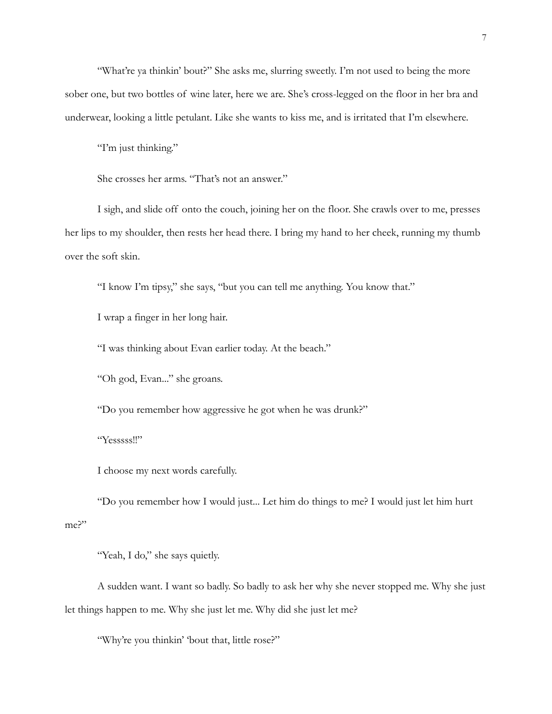"What're ya thinkin' bout?" She asks me, slurring sweetly. I'm not used to being the more sober one, but two bottles of wine later, here we are. She's cross-legged on the floor in her bra and underwear, looking a little petulant. Like she wants to kiss me, and is irritated that I'm elsewhere.

"I'm just thinking."

She crosses her arms. "That's not an answer."

I sigh, and slide off onto the couch, joining her on the floor. She crawls over to me, presses her lips to my shoulder, then rests her head there. I bring my hand to her cheek, running my thumb over the soft skin.

"I know I'm tipsy," she says, "but you can tell me anything. You know that."

I wrap a finger in her long hair.

"I was thinking about Evan earlier today. At the beach."

"Oh god, Evan..." she groans.

"Do you remember how aggressive he got when he was drunk?"

"Yesssss!!"

I choose my next words carefully.

"Do you remember how I would just... Let him do things to me? I would just let him hurt me?"

"Yeah, I do," she says quietly.

A sudden want. I want so badly. So badly to ask her why she never stopped me. Why she just let things happen to me. Why she just let me. Why did she just let me?

"Why're you thinkin' 'bout that, little rose?"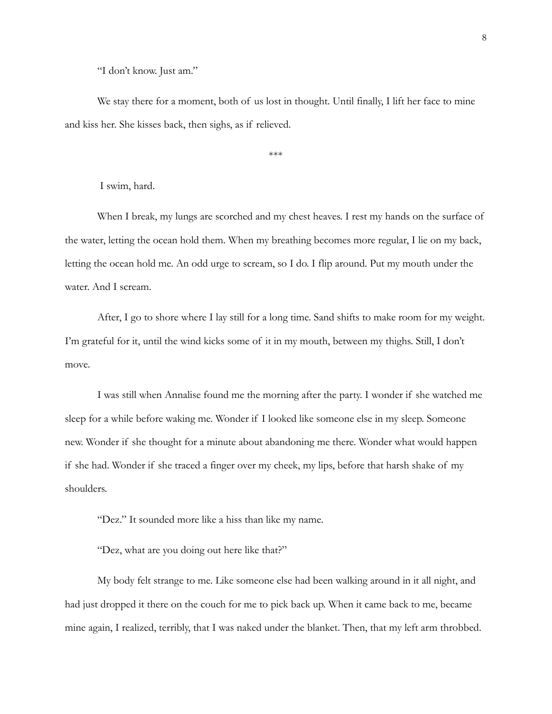"I don't know. Just am."

We stay there for a moment, both of us lost in thought. Until finally, I lift her face to mine and kiss her. She kisses back, then sighs, as if relieved.

\*\*\*

## I swim, hard.

 When I break, my lungs are scorched and my chest heaves. I rest my hands on the surface of the water, letting the ocean hold them. When my breathing becomes more regular, I lie on my back, letting the ocean hold me. An odd urge to scream, so I do. I flip around. Put my mouth under the water. And I scream.

 After, I go to shore where I lay still for a long time. Sand shifts to make room for my weight. I'm grateful for it, until the wind kicks some of it in my mouth, between my thighs. Still, I don't move.

 I was still when Annalise found me the morning after the party. I wonder if she watched me sleep for a while before waking me. Wonder if I looked like someone else in my sleep. Someone new. Wonder if she thought for a minute about abandoning me there. Wonder what would happen if she had. Wonder if she traced a finger over my cheek, my lips, before that harsh shake of my shoulders.

"Dez." It sounded more like a hiss than like my name.

"Dez, what are you doing out here like that?"

 My body felt strange to me. Like someone else had been walking around in it all night, and had just dropped it there on the couch for me to pick back up. When it came back to me, became mine again, I realized, terribly, that I was naked under the blanket. Then, that my left arm throbbed.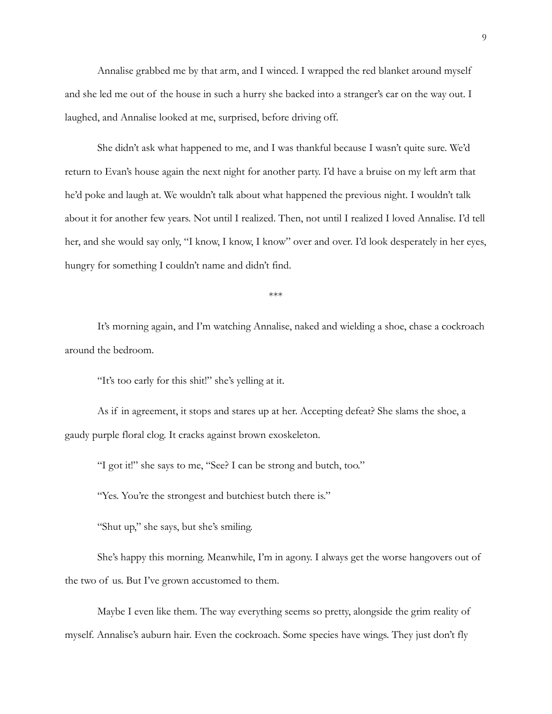Annalise grabbed me by that arm, and I winced. I wrapped the red blanket around myself and she led me out of the house in such a hurry she backed into a stranger's car on the way out. I laughed, and Annalise looked at me, surprised, before driving off.

 She didn't ask what happened to me, and I was thankful because I wasn't quite sure. We'd return to Evan's house again the next night for another party. I'd have a bruise on my left arm that he'd poke and laugh at. We wouldn't talk about what happened the previous night. I wouldn't talk about it for another few years. Not until I realized. Then, not until I realized I loved Annalise. I'd tell her, and she would say only, "I know, I know, I know" over and over. I'd look desperately in her eyes, hungry for something I couldn't name and didn't find.

\*\*\*

It's morning again, and I'm watching Annalise, naked and wielding a shoe, chase a cockroach around the bedroom.

"It's too early for this shit!" she's yelling at it.

As if in agreement, it stops and stares up at her. Accepting defeat? She slams the shoe, a gaudy purple floral clog. It cracks against brown exoskeleton.

"I got it!" she says to me, "See? I can be strong and butch, too."

"Yes. You're the strongest and butchiest butch there is."

"Shut up," she says, but she's smiling.

She's happy this morning. Meanwhile, I'm in agony. I always get the worse hangovers out of the two of us. But I've grown accustomed to them.

Maybe I even like them. The way everything seems so pretty, alongside the grim reality of myself. Annalise's auburn hair. Even the cockroach. Some species have wings. They just don't fly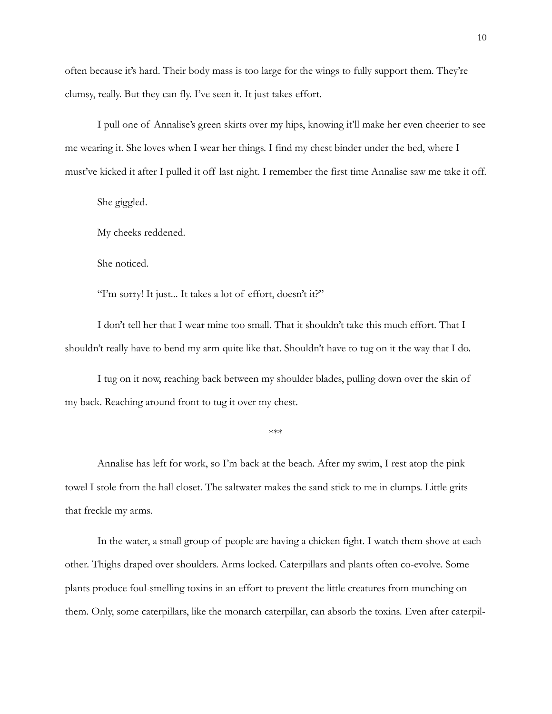often because it's hard. Their body mass is too large for the wings to fully support them. They're clumsy, really. But they can fly. I've seen it. It just takes effort.

I pull one of Annalise's green skirts over my hips, knowing it'll make her even cheerier to see me wearing it. She loves when I wear her things. I find my chest binder under the bed, where I must've kicked it after I pulled it off last night. I remember the first time Annalise saw me take it off.

She giggled.

My cheeks reddened.

She noticed.

"I'm sorry! It just... It takes a lot of effort, doesn't it?"

I don't tell her that I wear mine too small. That it shouldn't take this much effort. That I shouldn't really have to bend my arm quite like that. Shouldn't have to tug on it the way that I do.

I tug on it now, reaching back between my shoulder blades, pulling down over the skin of my back. Reaching around front to tug it over my chest.

\*\*\*

 Annalise has left for work, so I'm back at the beach. After my swim, I rest atop the pink towel I stole from the hall closet. The saltwater makes the sand stick to me in clumps. Little grits that freckle my arms.

 In the water, a small group of people are having a chicken fight. I watch them shove at each other. Thighs draped over shoulders. Arms locked. Caterpillars and plants often co-evolve. Some plants produce foul-smelling toxins in an effort to prevent the little creatures from munching on them. Only, some caterpillars, like the monarch caterpillar, can absorb the toxins. Even after caterpil